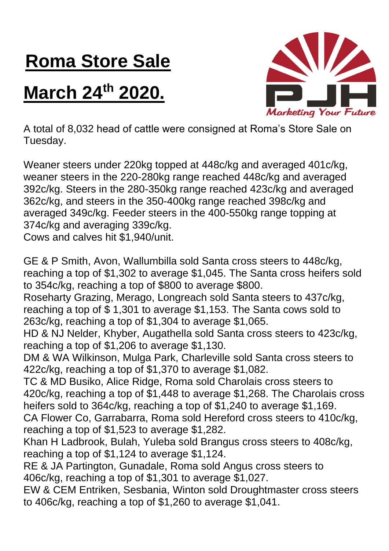## **Roma Store Sale**

## **March 24th 2020.**



A total of 8,032 head of cattle were consigned at Roma's Store Sale on Tuesday.

Weaner steers under 220kg topped at 448c/kg and averaged 401c/kg, weaner steers in the 220-280kg range reached 448c/kg and averaged 392c/kg. Steers in the 280-350kg range reached 423c/kg and averaged 362c/kg, and steers in the 350-400kg range reached 398c/kg and averaged 349c/kg. Feeder steers in the 400-550kg range topping at 374c/kg and averaging 339c/kg.

Cows and calves hit \$1,940/unit.

GE & P Smith, Avon, Wallumbilla sold Santa cross steers to 448c/kg, reaching a top of \$1,302 to average \$1,045. The Santa cross heifers sold to 354c/kg, reaching a top of \$800 to average \$800.

Roseharty Grazing, Merago, Longreach sold Santa steers to 437c/kg, reaching a top of \$ 1,301 to average \$1,153. The Santa cows sold to 263c/kg, reaching a top of \$1,304 to average \$1,065.

HD & NJ Nelder, Khyber, Augathella sold Santa cross steers to 423c/kg, reaching a top of \$1,206 to average \$1,130.

DM & WA Wilkinson, Mulga Park, Charleville sold Santa cross steers to 422c/kg, reaching a top of \$1,370 to average \$1,082.

TC & MD Busiko, Alice Ridge, Roma sold Charolais cross steers to 420c/kg, reaching a top of \$1,448 to average \$1,268. The Charolais cross heifers sold to 364c/kg, reaching a top of \$1,240 to average \$1,169.

CA Flower Co, Garrabarra, Roma sold Hereford cross steers to 410c/kg, reaching a top of \$1,523 to average \$1,282.

Khan H Ladbrook, Bulah, Yuleba sold Brangus cross steers to 408c/kg, reaching a top of \$1,124 to average \$1,124.

RE & JA Partington, Gunadale, Roma sold Angus cross steers to 406c/kg, reaching a top of \$1,301 to average \$1,027.

EW & CEM Entriken, Sesbania, Winton sold Droughtmaster cross steers to 406c/kg, reaching a top of \$1,260 to average \$1,041.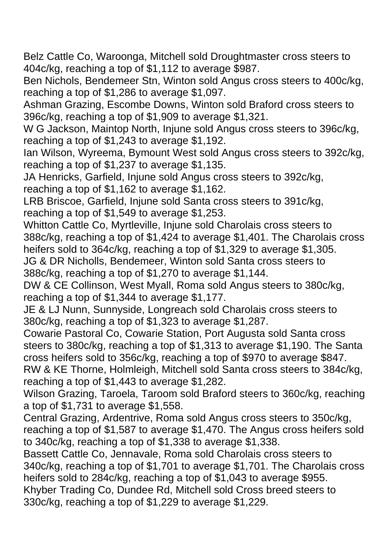Belz Cattle Co, Waroonga, Mitchell sold Droughtmaster cross steers to 404c/kg, reaching a top of \$1,112 to average \$987.

Ben Nichols, Bendemeer Stn, Winton sold Angus cross steers to 400c/kg, reaching a top of \$1,286 to average \$1,097.

Ashman Grazing, Escombe Downs, Winton sold Braford cross steers to 396c/kg, reaching a top of \$1,909 to average \$1,321.

W G Jackson, Maintop North, Injune sold Angus cross steers to 396c/kg, reaching a top of \$1,243 to average \$1,192.

Ian Wilson, Wyreema, Bymount West sold Angus cross steers to 392c/kg, reaching a top of \$1,237 to average \$1,135.

JA Henricks, Garfield, Injune sold Angus cross steers to 392c/kg, reaching a top of \$1,162 to average \$1,162.

LRB Briscoe, Garfield, Injune sold Santa cross steers to 391c/kg, reaching a top of \$1,549 to average \$1,253.

Whitton Cattle Co, Myrtleville, Injune sold Charolais cross steers to 388c/kg, reaching a top of \$1,424 to average \$1,401. The Charolais cross heifers sold to 364c/kg, reaching a top of \$1,329 to average \$1,305.

JG & DR Nicholls, Bendemeer, Winton sold Santa cross steers to 388c/kg, reaching a top of \$1,270 to average \$1,144.

DW & CE Collinson, West Myall, Roma sold Angus steers to 380c/kg, reaching a top of \$1,344 to average \$1,177.

JE & LJ Nunn, Sunnyside, Longreach sold Charolais cross steers to 380c/kg, reaching a top of \$1,323 to average \$1,287.

Cowarie Pastoral Co, Cowarie Station, Port Augusta sold Santa cross steers to 380c/kg, reaching a top of \$1,313 to average \$1,190. The Santa cross heifers sold to 356c/kg, reaching a top of \$970 to average \$847. RW & KE Thorne, Holmleigh, Mitchell sold Santa cross steers to 384c/kg, reaching a top of \$1,443 to average \$1,282.

Wilson Grazing, Taroela, Taroom sold Braford steers to 360c/kg, reaching a top of \$1,731 to average \$1,558.

Central Grazing, Ardentrive, Roma sold Angus cross steers to 350c/kg, reaching a top of \$1,587 to average \$1,470. The Angus cross heifers sold to 340c/kg, reaching a top of \$1,338 to average \$1,338.

Bassett Cattle Co, Jennavale, Roma sold Charolais cross steers to 340c/kg, reaching a top of \$1,701 to average \$1,701. The Charolais cross heifers sold to 284c/kg, reaching a top of \$1,043 to average \$955. Khyber Trading Co, Dundee Rd, Mitchell sold Cross breed steers to

330c/kg, reaching a top of \$1,229 to average \$1,229.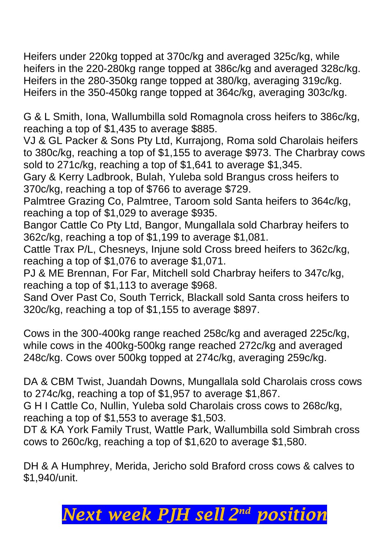Heifers under 220kg topped at 370c/kg and averaged 325c/kg, while heifers in the 220-280kg range topped at 386c/kg and averaged 328c/kg. Heifers in the 280-350kg range topped at 380/kg, averaging 319c/kg. Heifers in the 350-450kg range topped at 364c/kg, averaging 303c/kg.

G & L Smith, Iona, Wallumbilla sold Romagnola cross heifers to 386c/kg, reaching a top of \$1,435 to average \$885.

VJ & GL Packer & Sons Pty Ltd, Kurrajong, Roma sold Charolais heifers to 380c/kg, reaching a top of \$1,155 to average \$973. The Charbray cows sold to 271c/kg, reaching a top of \$1,641 to average \$1,345.

Gary & Kerry Ladbrook, Bulah, Yuleba sold Brangus cross heifers to 370c/kg, reaching a top of \$766 to average \$729.

Palmtree Grazing Co, Palmtree, Taroom sold Santa heifers to 364c/kg, reaching a top of \$1,029 to average \$935.

Bangor Cattle Co Pty Ltd, Bangor, Mungallala sold Charbray heifers to 362c/kg, reaching a top of \$1,199 to average \$1,081.

Cattle Trax P/L, Chesneys, Injune sold Cross breed heifers to 362c/kg, reaching a top of \$1,076 to average \$1,071.

PJ & ME Brennan, For Far, Mitchell sold Charbray heifers to 347c/kg, reaching a top of \$1,113 to average \$968.

Sand Over Past Co, South Terrick, Blackall sold Santa cross heifers to 320c/kg, reaching a top of \$1,155 to average \$897.

Cows in the 300-400kg range reached 258c/kg and averaged 225c/kg, while cows in the 400kg-500kg range reached 272c/kg and averaged 248c/kg. Cows over 500kg topped at 274c/kg, averaging 259c/kg.

DA & CBM Twist, Juandah Downs, Mungallala sold Charolais cross cows to 274c/kg, reaching a top of \$1,957 to average \$1,867.

G H I Cattle Co, Nullin, Yuleba sold Charolais cross cows to 268c/kg, reaching a top of \$1,553 to average \$1,503.

DT & KA York Family Trust, Wattle Park, Wallumbilla sold Simbrah cross cows to 260c/kg, reaching a top of \$1,620 to average \$1,580.

DH & A Humphrey, Merida, Jericho sold Braford cross cows & calves to \$1,940/unit.

## *Next week PJH sell 2 nd position*